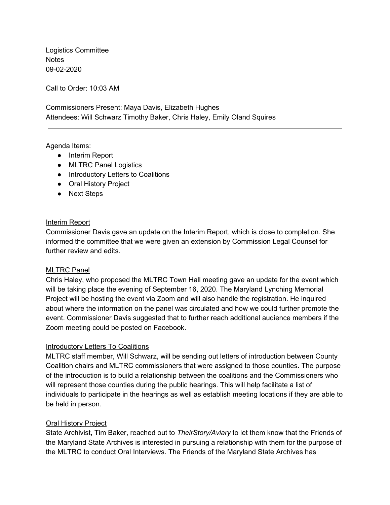Logistics Committee **Notes** 09-02-2020

Call to Order: 10:03 AM

 Commissioners Present: Maya Davis, Elizabeth Hughes Attendees: Will Schwarz Timothy Baker, Chris Haley, Emily Oland Squires

### Agenda Items:

- Interim Report
- MLTRC Panel Logistics
- Introductory Letters to Coalitions
- Oral History Project
- Next Steps

## Interim Report

 Commissioner Davis gave an update on the Interim Report, which is close to completion. She informed the committee that we were given an extension by Commission Legal Counsel for further review and edits.

## MLTRC Panel

 Chris Haley, who proposed the MLTRC Town Hall meeting gave an update for the event which will be taking place the evening of September 16, 2020. The Maryland Lynching Memorial Project will be hosting the event via Zoom and will also handle the registration. He inquired about where the information on the panel was circulated and how we could further promote the event. Commissioner Davis suggested that to further reach additional audience members if the Zoom meeting could be posted on Facebook.

#### **Introductory Letters To Coalitions**

 MLTRC staff member, Will Schwarz, will be sending out letters of introduction between County Coalition chairs and MLTRC commissioners that were assigned to those counties. The purpose of the introduction is to build a relationship between the coalitions and the Commissioners who will represent those counties during the public hearings. This will help facilitate a list of individuals to participate in the hearings as well as establish meeting locations if they are able to be held in person.

## **Oral History Project**

 State Archivist, Tim Baker, reached out to *TheirStory/Aviary* to let them know that the Friends of the Maryland State Archives is interested in pursuing a relationship with them for the purpose of the MLTRC to conduct Oral Interviews. The Friends of the Maryland State Archives has